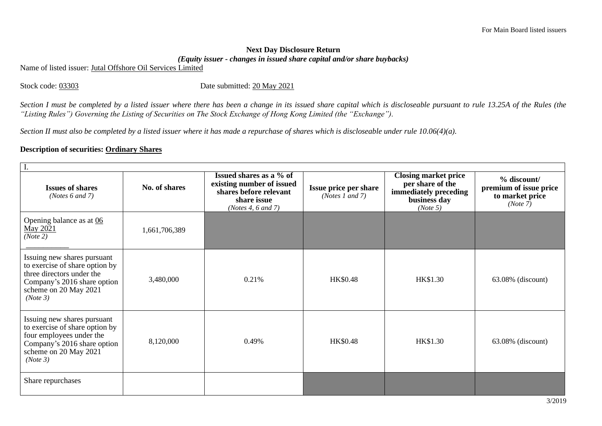## **Next Day Disclosure Return**  *(Equity issuer - changes in issued share capital and/or share buybacks)*

Name of listed issuer: Jutal Offshore Oil Services Limited

Stock code: 03303 Date submitted: 20 May 2021

*Section I must be completed by a listed issuer where there has been a change in its issued share capital which is discloseable pursuant to rule 13.25A of the Rules (the "Listing Rules") Governing the Listing of Securities on The Stock Exchange of Hong Kong Limited (the "Exchange").*

*Section II must also be completed by a listed issuer where it has made a repurchase of shares which is discloseable under rule 10.06(4)(a).*

## **Description of securities: Ordinary Shares**

| <b>Issues of shares</b><br>( <i>Notes</i> $6$ and $7$ )                                                                                                        | No. of shares | Issued shares as a % of<br>existing number of issued<br>shares before relevant<br>share issue<br>(Notes 4, $6$ and $7$ ) | Issue price per share<br>(Notes 1 and 7) | <b>Closing market price</b><br>per share of the<br>immediately preceding<br>business day<br>(Note 5) | % discount/<br>premium of issue price<br>to market price<br>(Note 7) |  |
|----------------------------------------------------------------------------------------------------------------------------------------------------------------|---------------|--------------------------------------------------------------------------------------------------------------------------|------------------------------------------|------------------------------------------------------------------------------------------------------|----------------------------------------------------------------------|--|
| Opening balance as at 06<br>May 2021<br>(Note 2)                                                                                                               | 1,661,706,389 |                                                                                                                          |                                          |                                                                                                      |                                                                      |  |
| Issuing new shares pursuant<br>to exercise of share option by<br>three directors under the<br>Company's 2016 share option<br>scheme on 20 May 2021<br>(Note 3) | 3,480,000     | 0.21%                                                                                                                    | <b>HK\$0.48</b>                          | HK\$1.30                                                                                             | $63.08\%$ (discount)                                                 |  |
| Issuing new shares pursuant<br>to exercise of share option by<br>four employees under the<br>Company's 2016 share option<br>scheme on 20 May 2021<br>(Note 3)  | 8,120,000     | 0.49%                                                                                                                    | <b>HK\$0.48</b>                          | HK\$1.30                                                                                             | $63.08\%$ (discount)                                                 |  |
| Share repurchases                                                                                                                                              |               |                                                                                                                          |                                          |                                                                                                      |                                                                      |  |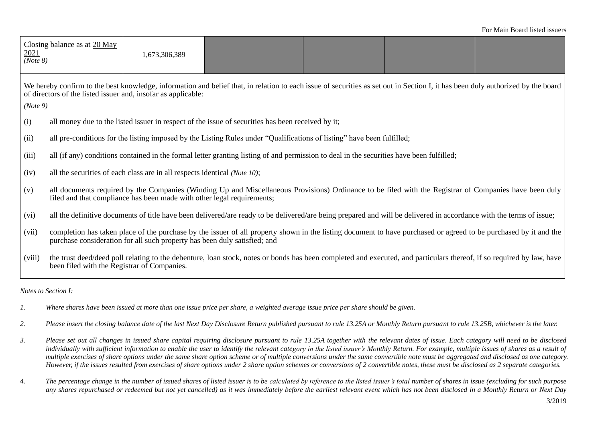| <u>2021</u><br>(Note 8)                                                                                                                                                                                                                                      | Closing balance as at $20$ May                                                                                                                                                                                                                | 1,673,306,389 |  |  |  |  |
|--------------------------------------------------------------------------------------------------------------------------------------------------------------------------------------------------------------------------------------------------------------|-----------------------------------------------------------------------------------------------------------------------------------------------------------------------------------------------------------------------------------------------|---------------|--|--|--|--|
| We hereby confirm to the best knowledge, information and belief that, in relation to each issue of securities as set out in Section I, it has been duly authorized by the board<br>of directors of the listed issuer and, insofar as applicable:<br>(Note 9) |                                                                                                                                                                                                                                               |               |  |  |  |  |
| (i)                                                                                                                                                                                                                                                          | all money due to the listed issuer in respect of the issue of securities has been received by it;                                                                                                                                             |               |  |  |  |  |
| (ii)                                                                                                                                                                                                                                                         | all pre-conditions for the listing imposed by the Listing Rules under "Qualifications of listing" have been fulfilled;                                                                                                                        |               |  |  |  |  |
| (iii)                                                                                                                                                                                                                                                        | all (if any) conditions contained in the formal letter granting listing of and permission to deal in the securities have been fulfilled;                                                                                                      |               |  |  |  |  |
| (iv)                                                                                                                                                                                                                                                         | all the securities of each class are in all respects identical (Note 10);                                                                                                                                                                     |               |  |  |  |  |
| (v)                                                                                                                                                                                                                                                          | all documents required by the Companies (Winding Up and Miscellaneous Provisions) Ordinance to be filed with the Registrar of Companies have been duly<br>filed and that compliance has been made with other legal requirements;              |               |  |  |  |  |
| (vi)                                                                                                                                                                                                                                                         | all the definitive documents of title have been delivered/are ready to be delivered/are being prepared and will be delivered in accordance with the terms of issue;                                                                           |               |  |  |  |  |
| (vii)                                                                                                                                                                                                                                                        | completion has taken place of the purchase by the issuer of all property shown in the listing document to have purchased or agreed to be purchased by it and the<br>purchase consideration for all such property has been duly satisfied; and |               |  |  |  |  |
| (viii)                                                                                                                                                                                                                                                       | the trust deed/deed poll relating to the debenture, loan stock, notes or bonds has been completed and executed, and particulars thereof, if so required by law, have<br>been filed with the Registrar of Companies.                           |               |  |  |  |  |

*Notes to Section I:*

- *1. Where shares have been issued at more than one issue price per share, a weighted average issue price per share should be given.*
- *2. Please insert the closing balance date of the last Next Day Disclosure Return published pursuant to rule 13.25A or Monthly Return pursuant to rule 13.25B, whichever is the later.*
- *3. Please set out all changes in issued share capital requiring disclosure pursuant to rule 13.25A together with the relevant dates of issue. Each category will need to be disclosed individually with sufficient information to enable the user to identify the relevant category in the listed issuer's Monthly Return. For example, multiple issues of shares as a result of multiple exercises of share options under the same share option scheme or of multiple conversions under the same convertible note must be aggregated and disclosed as one category. However, if the issues resulted from exercises of share options under 2 share option schemes or conversions of 2 convertible notes, these must be disclosed as 2 separate categories.*
- *4. The percentage change in the number of issued shares of listed issuer is to be calculated by reference to the listed issuer's total number of shares in issue (excluding for such purpose any shares repurchased or redeemed but not yet cancelled) as it was immediately before the earliest relevant event which has not been disclosed in a Monthly Return or Next Day*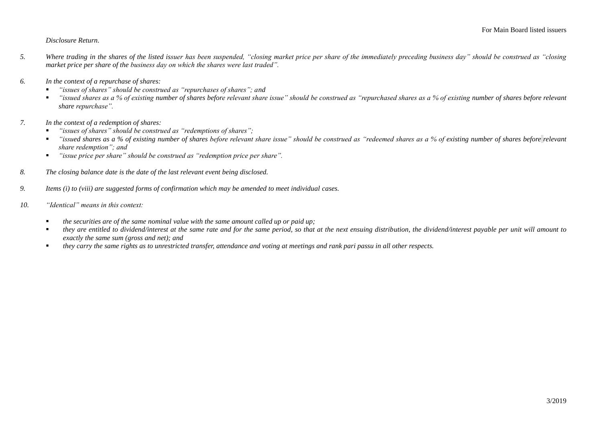## *Disclosure Return.*

- *5. Where trading in the shares of the listed issuer has been suspended, "closing market price per share of the immediately preceding business day" should be construed as "closing market price per share of the business day on which the shares were last traded".*
- *6. In the context of a repurchase of shares:*
	- *"issues of shares" should be construed as "repurchases of shares"; and*
	- *"issued shares as a % of existing number of shares before relevant share issue" should be construed as "repurchased shares as a % of existing number of shares before relevant share repurchase".*
- *7. In the context of a redemption of shares:*
	- "*issues of shares*" should be construed as "redemptions of shares";
	- *"issued shares as a % of existing number of shares before relevant share issue" should be construed as "redeemed shares as a % of existing number of shares before relevant share redemption"; and*
	- *"issue price per share" should be construed as "redemption price per share".*
- *8. The closing balance date is the date of the last relevant event being disclosed.*
- *9. Items (i) to (viii) are suggested forms of confirmation which may be amended to meet individual cases.*
- *10. "Identical" means in this context:* 
	- *the securities are of the same nominal value with the same amount called up or paid up;*
	- they are entitled to dividend/interest at the same rate and for the same period, so that at the next ensuing distribution, the dividend/interest payable per unit will amount to *exactly the same sum (gross and net); and*
	- *they carry the same rights as to unrestricted transfer, attendance and voting at meetings and rank pari passu in all other respects.*